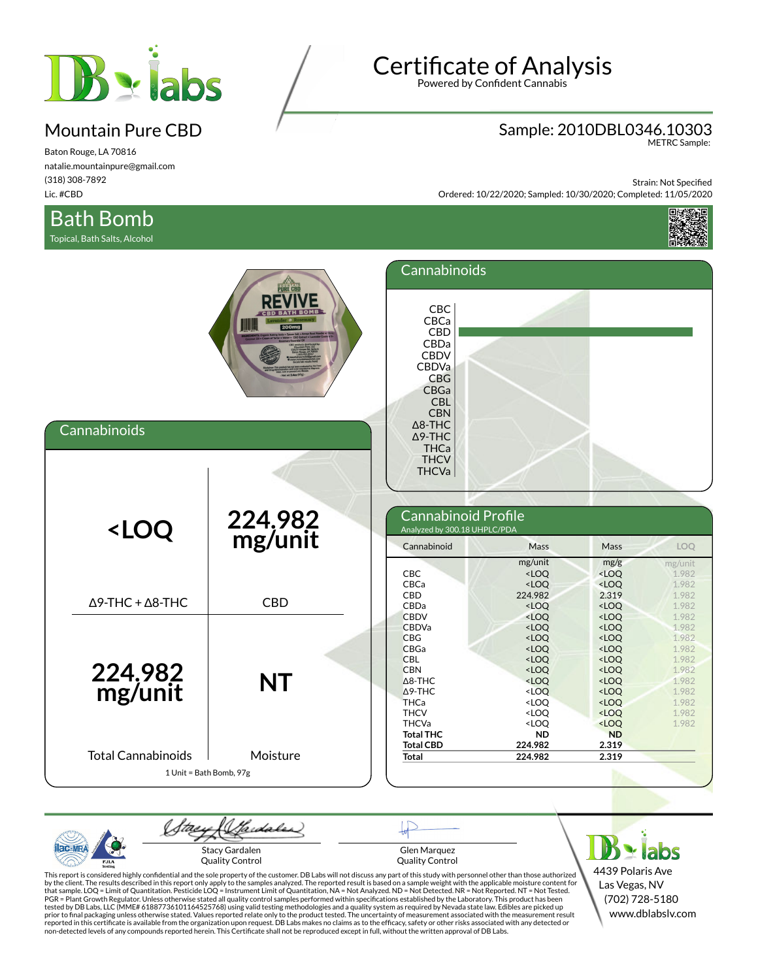

Baton Rouge, LA 70816 natalie.mountainpure@gmail.com (318) 308-7892 Lic. #CBD

## Bath Bomb

Topical, Bath Salts, Alcohol

# **Certificate of Analysis**

Powered by Confident Cannabis

## Sample: 2010DBL0346.10303 METRC Sample:

Strain: Not Specified Ordered: 10/22/2020; Sampled: 10/30/2020; Completed: 11/05/2020



| Cannabinoids                                                                                                                                                       | <b>PURE CBI</b>         | Cannabinoids<br>CBC<br>CBCa<br>CBD<br>CBDa<br><b>CBDV</b><br><b>CBDVa</b><br>CBG<br>CBGa<br><b>CBL</b><br><b>CBN</b><br>$\Delta$ 8-THC<br>$\Delta$ 9-THC<br><b>THCa</b><br><b>THCV</b><br><b>THCVa</b>      |                                                                                                                                                                                                                                                                                   |                                                                                                                                                                                                                                                 |                                                                                        |
|--------------------------------------------------------------------------------------------------------------------------------------------------------------------|-------------------------|-------------------------------------------------------------------------------------------------------------------------------------------------------------------------------------------------------------|-----------------------------------------------------------------------------------------------------------------------------------------------------------------------------------------------------------------------------------------------------------------------------------|-------------------------------------------------------------------------------------------------------------------------------------------------------------------------------------------------------------------------------------------------|----------------------------------------------------------------------------------------|
| <loq< th=""><th>224.982<br/>mg/unit</th><th>Cannabinoid Profile<br/>Analyzed by 300.18 UHPLC/PDA<br/>Cannabinoid</th><th>Mass</th><th>Mass</th><th>LOQ</th></loq<> | 224.982<br>mg/unit      | Cannabinoid Profile<br>Analyzed by 300.18 UHPLC/PDA<br>Cannabinoid                                                                                                                                          | Mass                                                                                                                                                                                                                                                                              | Mass                                                                                                                                                                                                                                            | LOQ                                                                                    |
| $\Delta$ 9-THC + $\Delta$ 8-THC                                                                                                                                    | <b>CBD</b>              | <b>CBC</b><br>CBCa<br>CBD<br>CBDa<br><b>CBDV</b>                                                                                                                                                            | mg/unit<br><loq<br><math>&lt;</math>LOQ<br/>224.982<br/><math>&lt;</math>LOQ<br/><loq< th=""><th>mg/g<br/><loq<br><loq<br>2.319<br/><loq<br><loq< th=""><th>mg/unit<br/>1.982<br/>1.982<br/>1.982<br/>1.982<br/>1.982</th></loq<></loq<br></loq<br></loq<br></th></loq<></loq<br> | mg/g<br><loq<br><loq<br>2.319<br/><loq<br><loq< th=""><th>mg/unit<br/>1.982<br/>1.982<br/>1.982<br/>1.982<br/>1.982</th></loq<></loq<br></loq<br></loq<br>                                                                                      | mg/unit<br>1.982<br>1.982<br>1.982<br>1.982<br>1.982                                   |
| 224.982<br>mg/unit<br><b>Total Cannabinoids</b>                                                                                                                    | <b>NT</b><br>Moisture   | CBDVa<br><b>CBG</b><br><b>CBGa</b><br><b>CBL</b><br><b>CBN</b><br>$\triangle$ 8-THC<br>$\Delta$ 9-THC<br><b>THCa</b><br><b>THCV</b><br><b>THCVa</b><br><b>Total THC</b><br><b>Total CBD</b><br><b>Total</b> | $<$ LOQ<br><loq<br><loq<br><math>&lt;</math>LOQ<br/><math>&lt;</math>LOQ<br/><loq<br><loq<br><loq<br><loq<br><loq<br><b>ND</b><br/>224.982<br/>224.982</loq<br></loq<br></loq<br></loq<br></loq<br></loq<br></loq<br>                                                             | <loq<br><math>&lt;</math>LOQ<br/><loq<br><math>&lt;</math>LOQ<br/><loq<br><math>&lt;</math>LOQ<br/><loq<br><math>&lt;</math>LOQ<br/><math>&lt;</math>LOQ<br/><loq<br><b>ND</b><br/>2.319<br/>2.319</loq<br></loq<br></loq<br></loq<br></loq<br> | 1.982<br>1.982<br>1.982<br>1.982<br>1.982<br>1.982<br>1.982<br>1.982<br>1.982<br>1.982 |
|                                                                                                                                                                    | 1 Unit = Bath Bomb, 97g |                                                                                                                                                                                                             |                                                                                                                                                                                                                                                                                   |                                                                                                                                                                                                                                                 |                                                                                        |

(Sadales) 'tae.  $AC-MR$ Stacy Gardalen Glen Marquez **Ylabs** Quality Control Quality Control PJL

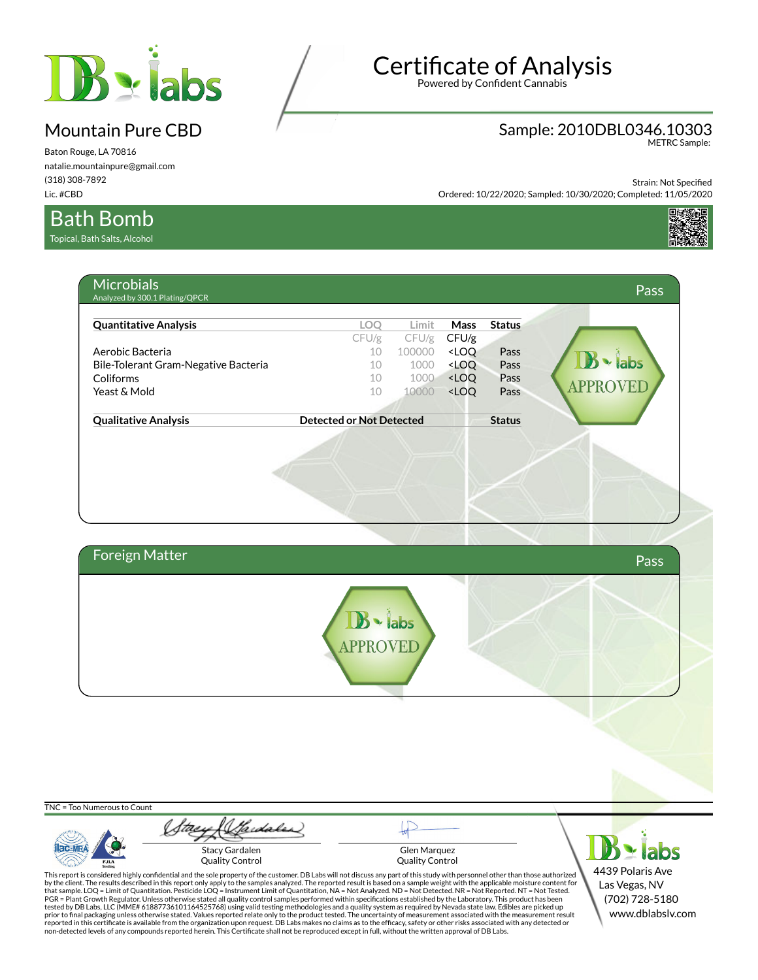

Baton Rouge, LA 70816 natalie.mountainpure@gmail.com (318) 308-7892 Lic. #CBD

# **Certificate of Analysis**

Powered by Confident Cannabis

## Sample: 2010DBL0346.10303 METRC Sample:

Strain: Not Specified

Ordered: 10/22/2020; Sampled: 10/30/2020; Completed: 11/05/2020



### Bath Bomb

Topical, Bath Salts, Alcohol

|                              | <b>Microbials</b><br>Analyzed by 300.1 Plating/QPCR                                                                                                                                                                                                                                                                                                                 |                                       |                        |                                                                   |               |                  | <b>Pass</b> |
|------------------------------|---------------------------------------------------------------------------------------------------------------------------------------------------------------------------------------------------------------------------------------------------------------------------------------------------------------------------------------------------------------------|---------------------------------------|------------------------|-------------------------------------------------------------------|---------------|------------------|-------------|
| <b>Quantitative Analysis</b> |                                                                                                                                                                                                                                                                                                                                                                     | LOQ                                   | Limit                  | Mass                                                              | <b>Status</b> |                  |             |
|                              |                                                                                                                                                                                                                                                                                                                                                                     | CFU/g                                 | CFU/g                  | CFU/g                                                             |               |                  |             |
| Aerobic Bacteria             |                                                                                                                                                                                                                                                                                                                                                                     | 10                                    | 100000                 | <loq< td=""><td>Pass</td><td></td><td></td></loq<>                | Pass          |                  |             |
|                              | Bile-Tolerant Gram-Negative Bacteria                                                                                                                                                                                                                                                                                                                                | 10                                    | 1000                   | <loq< td=""><td>Pass</td><td>· labs</td><td></td></loq<>          | Pass          | · labs           |             |
| Coliforms                    |                                                                                                                                                                                                                                                                                                                                                                     | 10                                    | 1000                   | <loq< td=""><td>Pass</td><td><b>APPROVEL</b></td><td></td></loq<> | Pass          | <b>APPROVEL</b>  |             |
| Yeast & Mold                 |                                                                                                                                                                                                                                                                                                                                                                     | 10                                    | 10000                  | <loq< td=""><td>Pass</td><td></td><td></td></loq<>                | Pass          |                  |             |
| <b>Qualitative Analysis</b>  |                                                                                                                                                                                                                                                                                                                                                                     | <b>Detected or Not Detected</b>       |                        |                                                                   | <b>Status</b> |                  |             |
|                              |                                                                                                                                                                                                                                                                                                                                                                     |                                       |                        |                                                                   |               |                  |             |
|                              |                                                                                                                                                                                                                                                                                                                                                                     |                                       |                        |                                                                   |               |                  |             |
|                              |                                                                                                                                                                                                                                                                                                                                                                     |                                       |                        |                                                                   |               |                  |             |
| <b>Foreign Matter</b>        |                                                                                                                                                                                                                                                                                                                                                                     |                                       |                        |                                                                   |               |                  | Pass        |
|                              |                                                                                                                                                                                                                                                                                                                                                                     |                                       |                        |                                                                   |               |                  |             |
|                              |                                                                                                                                                                                                                                                                                                                                                                     | $\mathbf{B}$ $\cdot$ labs<br>APPROVED |                        |                                                                   |               |                  |             |
|                              |                                                                                                                                                                                                                                                                                                                                                                     |                                       |                        |                                                                   |               |                  |             |
|                              |                                                                                                                                                                                                                                                                                                                                                                     |                                       |                        |                                                                   |               |                  |             |
|                              |                                                                                                                                                                                                                                                                                                                                                                     |                                       |                        |                                                                   |               |                  |             |
|                              |                                                                                                                                                                                                                                                                                                                                                                     |                                       |                        |                                                                   |               |                  |             |
| TNC = Too Numerous to Count  |                                                                                                                                                                                                                                                                                                                                                                     |                                       |                        |                                                                   |               |                  |             |
|                              |                                                                                                                                                                                                                                                                                                                                                                     |                                       |                        |                                                                   |               |                  |             |
|                              |                                                                                                                                                                                                                                                                                                                                                                     |                                       |                        |                                                                   |               |                  |             |
|                              | <b>Stacy Gardalen</b>                                                                                                                                                                                                                                                                                                                                               |                                       | Glen Marquez           |                                                                   |               |                  |             |
| <b>PJLA</b><br>Testing       | <b>Quality Control</b>                                                                                                                                                                                                                                                                                                                                              |                                       | <b>Quality Control</b> |                                                                   |               |                  |             |
|                              | This report is considered highly confidential and the sole property of the customer. DB Labs will not discuss any part of this study with personnel other than those authorized<br>by the client. The results described in this report only apply to the samples analyzed. The reported result is based on a sample weight with the applicable moisture content for |                                       |                        |                                                                   |               | 4439 Polaris Ave |             |
|                              | that sample. LOQ = Limit of Quantitation. Pesticide LOQ = Instrument Limit of Quantitation, NA = Not Analyzed. ND = Not Detected. NR = Not Reported. NT = Not Tested.                                                                                                                                                                                               |                                       |                        |                                                                   |               | Las Vegas, NV    |             |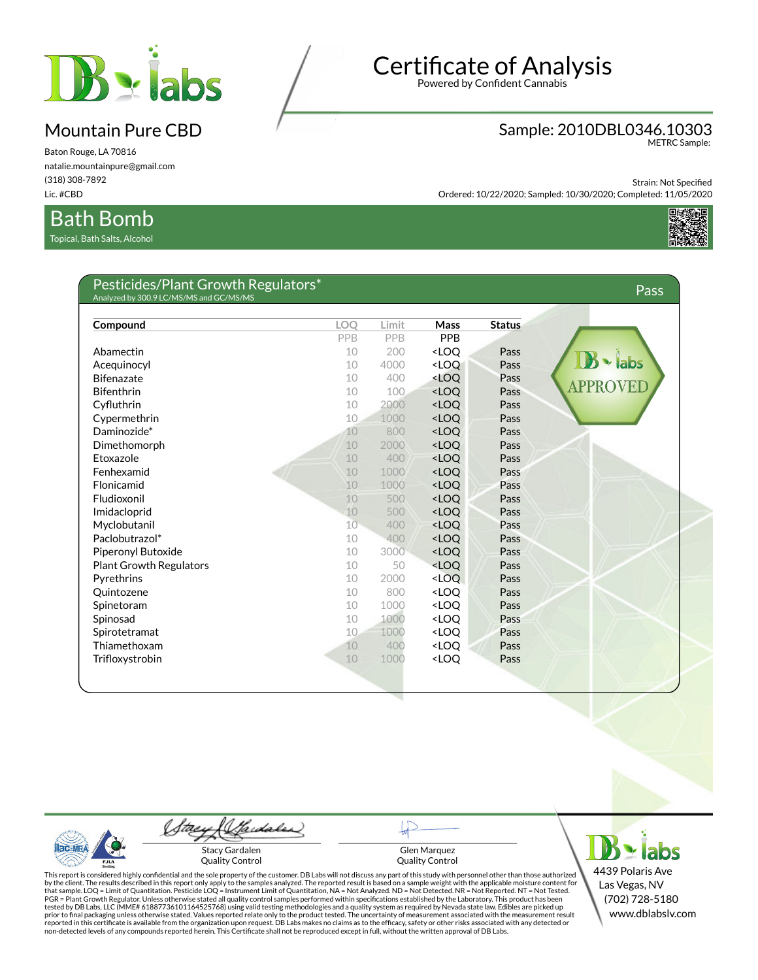

Baton Rouge, LA 70816 natalie.mountainpure@gmail.com (318) 308-7892 Lic. #CBD

### Bath Bomb

Topical, Bath Salts, Alcohol

# **Certificate of Analysis**

Powered by Confident Cannabis

## Sample: 2010DBL0346.10303 METRC Sample:

Strain: Not Specified

Ordered: 10/22/2020; Sampled: 10/30/2020; Completed: 11/05/2020



| Compound                       | <b>LOO</b> | Limit | Mass                                          | <b>Status</b> |               |
|--------------------------------|------------|-------|-----------------------------------------------|---------------|---------------|
|                                | PPB        | PPB   | PPB                                           |               |               |
| Abamectin                      | 10         | 200   | <loq< td=""><td>Pass</td><td></td></loq<>     | Pass          |               |
| Acequinocyl                    | 10         | 4000  | <loq< td=""><td>Pass</td><td>labs</td></loq<> | Pass          | labs          |
| <b>Bifenazate</b>              | 10         | 400   | <loq< td=""><td>Pass</td><td></td></loq<>     | Pass          |               |
| <b>Bifenthrin</b>              | 10         | 100   | $<$ LOO                                       | Pass          | <b>APPROV</b> |
| Cyfluthrin                     | 10         | 2000  | <loq< td=""><td>Pass</td><td></td></loq<>     | Pass          |               |
| Cypermethrin                   | 10         | 1000  | <loo< td=""><td>Pass</td><td></td></loo<>     | Pass          |               |
| Daminozide*                    | 10         | 800   | <loq< td=""><td>Pass</td><td></td></loq<>     | Pass          |               |
| Dimethomorph                   | 10         | 2000  | <loo< td=""><td>Pass</td><td></td></loo<>     | Pass          |               |
| Etoxazole                      | 10         | 400   | <loq< td=""><td>Pass</td><td></td></loq<>     | Pass          |               |
| Fenhexamid                     | 10         | 1000  | $<$ LOO                                       | Pass          |               |
| Flonicamid                     | 10         | 1000  | <loq< td=""><td>Pass</td><td></td></loq<>     | Pass          |               |
| Fludioxonil                    | 10         | 500   | $<$ LOO                                       | Pass          |               |
| Imidacloprid                   | 10         | 500   | <loq< td=""><td>Pass</td><td></td></loq<>     | Pass          |               |
| Myclobutanil                   | 10         | 400   | <loq< td=""><td>Pass</td><td></td></loq<>     | Pass          |               |
| Paclobutrazol*                 | 10         | 400   | <loq< td=""><td>Pass</td><td></td></loq<>     | Pass          |               |
| Piperonyl Butoxide             | 10         | 3000  | <loq< td=""><td>Pass</td><td></td></loq<>     | Pass          |               |
| <b>Plant Growth Regulators</b> | 10         | 50    | <loq< td=""><td>Pass</td><td></td></loq<>     | Pass          |               |
| Pyrethrins                     | 10         | 2000  | <loo< td=""><td>Pass</td><td></td></loo<>     | Pass          |               |
| Quintozene                     | 10         | 800   | <loo< td=""><td>Pass</td><td></td></loo<>     | Pass          |               |
| Spinetoram                     | 10         | 1000  | <loq< td=""><td>Pass</td><td></td></loq<>     | Pass          |               |
| Spinosad                       | 10         | 1000  | <loq< td=""><td>Pass</td><td></td></loq<>     | Pass          |               |
| Spirotetramat                  | 10         | 1000  | <loq< td=""><td>Pass</td><td></td></loq<>     | Pass          |               |
| Thiamethoxam                   | 10         | 400   | <loq< td=""><td>Pass</td><td></td></loq<>     | Pass          |               |
| Trifloxystrobin                | 10         | 1000  | <loq< td=""><td>Pass</td><td></td></loq<>     | Pass          |               |

 $AC-MR$ PJL/

(Sadales) Stacy Gardalen

Quality Control

Glen Marquez Quality Control

 $B \cdot$  labs 4439 Polaris Ave Las Vegas, NV (702) 728-5180 www.dblabslv.com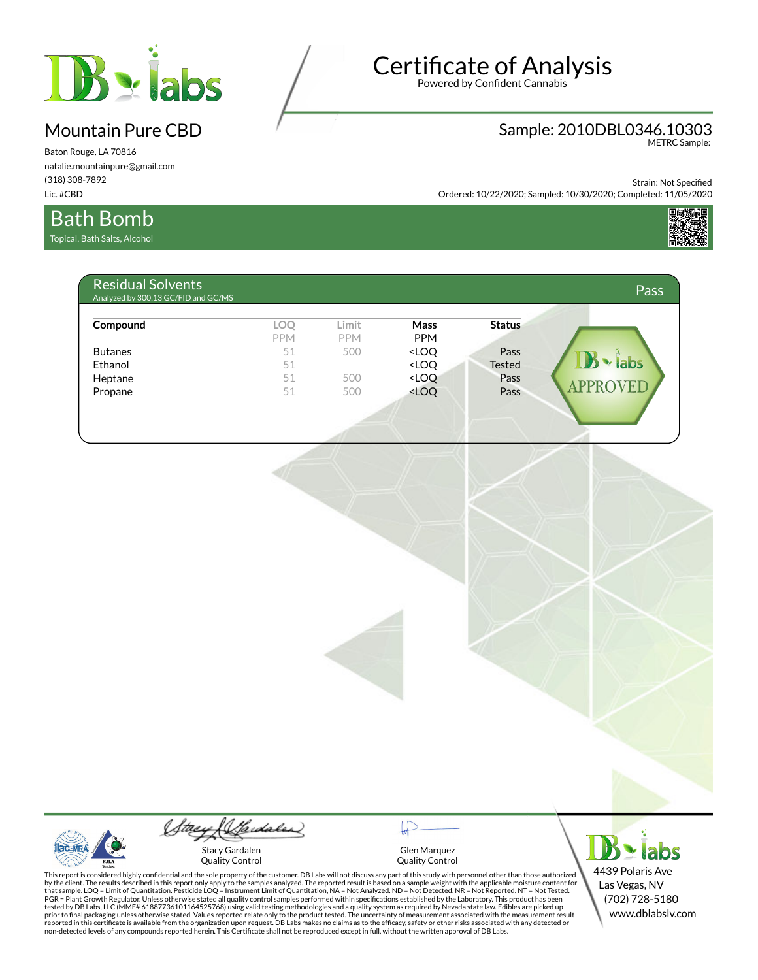

Baton Rouge, LA 70816 natalie.mountainpure@gmail.com (318) 308-7892 Lic. #CBD

### Bath Bomb

Topical, Bath Salts, Alcohol

# **Certificate of Analysis**

Powered by Confident Cannabis

## Sample: 2010DBL0346.10303 METRC Sample:

Strain: Not Specified

Ordered: 10/22/2020; Sampled: 10/30/2020; Completed: 11/05/2020



| Compound       | <b>LOO</b> | Limit      | <b>Mass</b>                                                                                                         | <b>Status</b> |                                            |
|----------------|------------|------------|---------------------------------------------------------------------------------------------------------------------|---------------|--------------------------------------------|
|                | <b>PPM</b> | <b>PPM</b> | <b>PPM</b>                                                                                                          |               |                                            |
| <b>Butanes</b> | 51         | 500        | <loq< td=""><td>Pass</td><td></td></loq<>                                                                           | Pass          |                                            |
| Ethanol        | 51         |            | <loq< td=""><td><b>Tested</b></td><td><math>\blacktriangleright</math> labs<br/><math>\mathbb{R}</math></td></loq<> | <b>Tested</b> | $\blacktriangleright$ labs<br>$\mathbb{R}$ |
| Heptane        | 51         | 500        | <loq< td=""><td>Pass</td><td></td></loq<>                                                                           | Pass          |                                            |
| Propane        | 51         | 500        | <loq< td=""><td>Pass</td><td><b>APPRO</b><br/>VEI</td></loq<>                                                       | Pass          | <b>APPRO</b><br>VEI                        |



(Sadales) Stacy Gardalen

Quality Control

Glen Marquez Quality Control

 $B \times$  labs 4439 Polaris Ave Las Vegas, NV (702) 728-5180 www.dblabslv.com